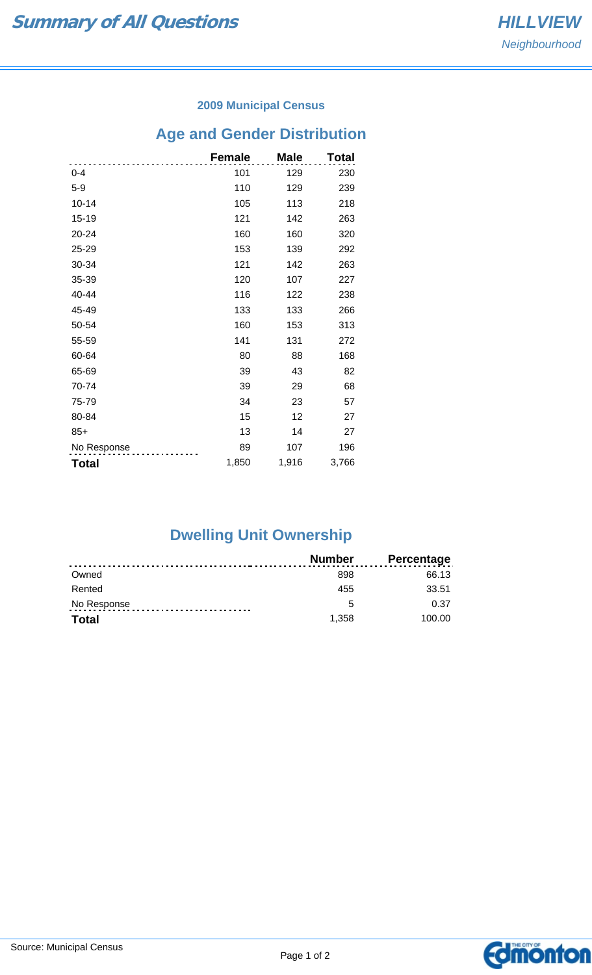### **2009 Municipal Census**

## **Age and Gender Distribution**

|              | <b>Female</b> | <b>Male</b> | <b>Total</b> |
|--------------|---------------|-------------|--------------|
| $0 - 4$      | 101           | 129         | 230          |
| $5 - 9$      | 110           | 129         | 239          |
| $10 - 14$    | 105           | 113         | 218          |
| $15 - 19$    | 121           | 142         | 263          |
| 20-24        | 160           | 160         | 320          |
| 25-29        | 153           | 139         | 292          |
| 30-34        | 121           | 142         | 263          |
| 35-39        | 120           | 107         | 227          |
| 40-44        | 116           | 122         | 238          |
| 45-49        | 133           | 133         | 266          |
| 50-54        | 160           | 153         | 313          |
| 55-59        | 141           | 131         | 272          |
| 60-64        | 80            | 88          | 168          |
| 65-69        | 39            | 43          | 82           |
| 70-74        | 39            | 29          | 68           |
| 75-79        | 34            | 23          | 57           |
| 80-84        | 15            | 12          | 27           |
| $85+$        | 13            | 14          | 27           |
| No Response  | 89            | 107         | 196          |
| <b>Total</b> | 1,850         | 1,916       | 3,766        |

# **Dwelling Unit Ownership**

|              | <b>Number</b> | <b>Percentage</b> |
|--------------|---------------|-------------------|
| Owned        | 898           | 66.13             |
| Rented       | 455           | 33.51             |
| No Response  | 5             | 0.37              |
| <b>Total</b> | 1.358         | 100.00            |